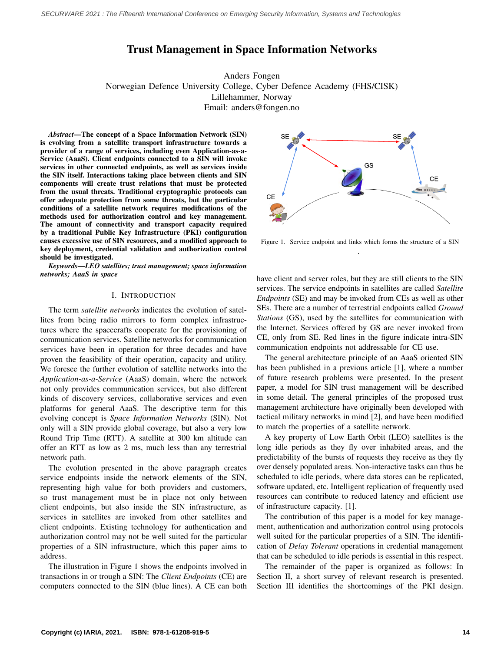# Trust Management in Space Information Networks

Anders Fongen Norwegian Defence University College, Cyber Defence Academy (FHS/CISK) Lillehammer, Norway Email: anders@fongen.no

*Abstract*—The concept of a Space Information Network (SIN) is evolving from a satellite transport infrastructure towards a provider of a range of services, including even Application-as-a-Service (AaaS). Client endpoints connected to a SIN will invoke services in other connected endpoints, as well as services inside the SIN itself. Interactions taking place between clients and SIN components will create trust relations that must be protected from the usual threats. Traditional cryptographic protocols can offer adequate protection from some threats, but the particular conditions of a satellite network requires modifications of the methods used for authorization control and key management. The amount of connectivity and transport capacity required by a traditional Public Key Infrastructure (PKI) configuration causes excessive use of SIN resources, and a modified approach to key deployment, credential validation and authorization control should be investigated.

*Keywords*—*LEO satellites; trust management; space information networks; AaaS in space*

#### I. INTRODUCTION

The term *satellite networks* indicates the evolution of satellites from being radio mirrors to form complex infrastructures where the spacecrafts cooperate for the provisioning of communication services. Satellite networks for communication services have been in operation for three decades and have proven the feasibility of their operation, capacity and utility. We foresee the further evolution of satellite networks into the *Application-as-a-Service* (AaaS) domain, where the network not only provides communication services, but also different kinds of discovery services, collaborative services and even platforms for general AaaS. The descriptive term for this evolving concept is *Space Information Networks* (SIN). Not only will a SIN provide global coverage, but also a very low Round Trip Time (RTT). A satellite at 300 km altitude can offer an RTT as low as 2 ms, much less than any terrestrial network path.

The evolution presented in the above paragraph creates service endpoints inside the network elements of the SIN, representing high value for both providers and customers, so trust management must be in place not only between client endpoints, but also inside the SIN infrastructure, as services in satellites are invoked from other satellites and client endpoints. Existing technology for authentication and authorization control may not be well suited for the particular properties of a SIN infrastructure, which this paper aims to address.

The illustration in Figure 1 shows the endpoints involved in transactions in or trough a SIN: The *Client Endpoints* (CE) are computers connected to the SIN (blue lines). A CE can both



Figure 1. Service endpoint and links which forms the structure of a SIN .

have client and server roles, but they are still clients to the SIN services. The service endpoints in satellites are called *Satellite Endpoints* (SE) and may be invoked from CEs as well as other SEs. There are a number of terrestrial endpoints called *Ground Stations* (GS), used by the satellites for communication with the Internet. Services offered by GS are never invoked from CE, only from SE. Red lines in the figure indicate intra-SIN communication endpoints not addressable for CE use.

The general architecture principle of an AaaS oriented SIN has been published in a previous article [1], where a number of future research problems were presented. In the present paper, a model for SIN trust management will be described in some detail. The general principles of the proposed trust management architecture have originally been developed with tactical military networks in mind [2], and have been modified to match the properties of a satellite network.

A key property of Low Earth Orbit (LEO) satellites is the long idle periods as they fly over inhabited areas, and the predictability of the bursts of requests they receive as they fly over densely populated areas. Non-interactive tasks can thus be scheduled to idle periods, where data stores can be replicated, software updated, etc. Intelligent replication of frequently used resources can contribute to reduced latency and efficient use of infrastructure capacity. [1].

The contribution of this paper is a model for key management, authentication and authorization control using protocols well suited for the particular properties of a SIN. The identification of *Delay Tolerant* operations in credential management that can be scheduled to idle periods is essential in this respect.

The remainder of the paper is organized as follows: In Section II, a short survey of relevant research is presented. Section III identifies the shortcomings of the PKI design.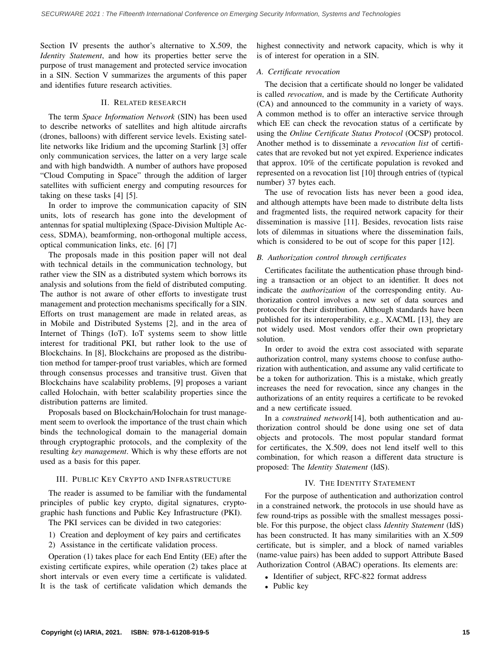Section IV presents the author's alternative to X.509, the *Identity Statement*, and how its properties better serve the purpose of trust management and protected service invocation in a SIN. Section V summarizes the arguments of this paper and identifies future research activities.

# II. RELATED RESEARCH

The term *Space Information Network* (SIN) has been used to describe networks of satellites and high altitude aircrafts (drones, balloons) with different service levels. Existing satellite networks like Iridium and the upcoming Starlink [3] offer only communication services, the latter on a very large scale and with high bandwidth. A number of authors have proposed "Cloud Computing in Space" through the addition of larger satellites with sufficient energy and computing resources for taking on these tasks [4] [5].

In order to improve the communication capacity of SIN units, lots of research has gone into the development of antennas for spatial multiplexing (Space-Division Multiple Access, SDMA), beamforming, non-orthogonal multiple access, optical communication links, etc. [6] [7]

The proposals made in this position paper will not deal with technical details in the communication technology, but rather view the SIN as a distributed system which borrows its analysis and solutions from the field of distributed computing. The author is not aware of other efforts to investigate trust management and protection mechanisms specifically for a SIN. Efforts on trust management are made in related areas, as in Mobile and Distributed Systems [2], and in the area of Internet of Things (IoT). IoT systems seem to show little interest for traditional PKI, but rather look to the use of Blockchains. In [8], Blockchains are proposed as the distribution method for tamper-proof trust variables, which are formed through consensus processes and transitive trust. Given that Blockchains have scalability problems, [9] proposes a variant called Holochain, with better scalability properties since the distribution patterns are limited.

Proposals based on Blockchain/Holochain for trust management seem to overlook the importance of the trust chain which binds the technological domain to the managerial domain through cryptographic protocols, and the complexity of the resulting *key management*. Which is why these efforts are not used as a basis for this paper.

#### III. PUBLIC KEY CRYPTO AND INFRASTRUCTURE

The reader is assumed to be familiar with the fundamental principles of public key crypto, digital signatures, cryptographic hash functions and Public Key Infrastructure (PKI). The PKI services can be divided in two categories:

1) Creation and deployment of key pairs and certificates

2) Assistance in the certificate validation process.

Operation (1) takes place for each End Entity (EE) after the existing certificate expires, while operation (2) takes place at short intervals or even every time a certificate is validated. It is the task of certificate validation which demands the

highest connectivity and network capacity, which is why it is of interest for operation in a SIN.

# *A. Certificate revocation*

The decision that a certificate should no longer be validated is called *revocation*, and is made by the Certificate Authority (CA) and announced to the community in a variety of ways. A common method is to offer an interactive service through which EE can check the revocation status of a certificate by using the *Online Certificate Status Protocol* (OCSP) protocol. Another method is to disseminate a *revocation list* of certificates that are revoked but not yet expired. Experience indicates that approx. 10% of the certificate population is revoked and represented on a revocation list [10] through entries of (typical number) 37 bytes each.

The use of revocation lists has never been a good idea, and although attempts have been made to distribute delta lists and fragmented lists, the required network capacity for their dissemination is massive [11]. Besides, revocation lists raise lots of dilemmas in situations where the dissemination fails, which is considered to be out of scope for this paper [12].

### *B. Authorization control through certificates*

Certificates facilitate the authentication phase through binding a transaction or an object to an identifier. It does not indicate the *authorization* of the corresponding entity. Authorization control involves a new set of data sources and protocols for their distribution. Although standards have been published for its interoperability, e.g., XACML [13], they are not widely used. Most vendors offer their own proprietary solution.

In order to avoid the extra cost associated with separate authorization control, many systems choose to confuse authorization with authentication, and assume any valid certificate to be a token for authorization. This is a mistake, which greatly increases the need for revocation, since any changes in the authorizations of an entity requires a certificate to be revoked and a new certificate issued.

In a *constrained network*[14], both authentication and authorization control should be done using one set of data objects and protocols. The most popular standard format for certificates, the X.509, does not lend itself well to this combination, for which reason a different data structure is proposed: The *Identity Statement* (IdS).

## IV. THE IDENTITY STATEMENT

For the purpose of authentication and authorization control in a constrained network, the protocols in use should have as few round-trips as possible with the smallest messages possible. For this purpose, the object class *Identity Statement* (IdS) has been constructed. It has many similarities with an X.509 certificate, but is simpler, and a block of named variables (name-value pairs) has been added to support Attribute Based Authorization Control (ABAC) operations. Its elements are:

- Identifier of subject, RFC-822 format address
- Public key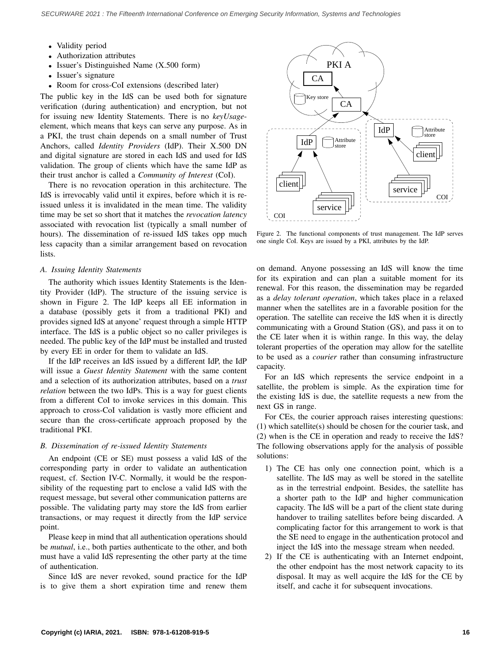- Validity period
- Authorization attributes
- Issuer's Distinguished Name (X.500 form)
- Issuer's signature
- Room for cross-CoI extensions (described later)

The public key in the IdS can be used both for signature verification (during authentication) and encryption, but not for issuing new Identity Statements. There is no *keyUsage*element, which means that keys can serve any purpose. As in a PKI, the trust chain depends on a small number of Trust Anchors, called *Identity Providers* (IdP). Their X.500 DN and digital signature are stored in each IdS and used for IdS validation. The group of clients which have the same IdP as their trust anchor is called a *Community of Interest* (CoI).

There is no revocation operation in this architecture. The IdS is irrevocably valid until it expires, before which it is reissued unless it is invalidated in the mean time. The validity time may be set so short that it matches the *revocation latency* associated with revocation list (typically a small number of hours). The dissemination of re-issued IdS takes opp much less capacity than a similar arrangement based on revocation lists.

## *A. Issuing Identity Statements*

The authority which issues Identity Statements is the Identity Provider (IdP). The structure of the issuing service is shown in Figure 2. The IdP keeps all EE information in a database (possibly gets it from a traditional PKI) and provides signed IdS at anyone' request through a simple HTTP interface. The IdS is a public object so no caller privileges is needed. The public key of the IdP must be installed and trusted by every EE in order for them to validate an IdS.

If the IdP receives an IdS issued by a different IdP, the IdP will issue a *Guest Identity Statement* with the same content and a selection of its authorization attributes, based on a *trust relation* between the two IdPs. This is a way for guest clients from a different CoI to invoke services in this domain. This approach to cross-CoI validation is vastly more efficient and secure than the cross-certificate approach proposed by the traditional PKI.

#### *B. Dissemination of re-issued Identity Statements*

An endpoint (CE or SE) must possess a valid IdS of the corresponding party in order to validate an authentication request, cf. Section IV-C. Normally, it would be the responsibility of the requesting part to enclose a valid IdS with the request message, but several other communication patterns are possible. The validating party may store the IdS from earlier transactions, or may request it directly from the IdP service point.

Please keep in mind that all authentication operations should be *mutual*, i.e., both parties authenticate to the other, and both must have a valid IdS representing the other party at the time of authentication.

Since IdS are never revoked, sound practice for the IdP is to give them a short expiration time and renew them



Figure 2. The functional components of trust management. The IdP serves one single CoI. Keys are issued by a PKI, attributes by the IdP.

on demand. Anyone possessing an IdS will know the time for its expiration and can plan a suitable moment for its renewal. For this reason, the dissemination may be regarded as a *delay tolerant operation*, which takes place in a relaxed manner when the satellites are in a favorable position for the operation. The satellite can receive the IdS when it is directly communicating with a Ground Station (GS), and pass it on to the CE later when it is within range. In this way, the delay tolerant properties of the operation may allow for the satellite to be used as a *courier* rather than consuming infrastructure capacity.

For an IdS which represents the service endpoint in a satellite, the problem is simple. As the expiration time for the existing IdS is due, the satellite requests a new from the next GS in range.

For CEs, the courier approach raises interesting questions: (1) which satellite(s) should be chosen for the courier task, and (2) when is the CE in operation and ready to receive the IdS? The following observations apply for the analysis of possible solutions:

- 1) The CE has only one connection point, which is a satellite. The IdS may as well be stored in the satellite as in the terrestrial endpoint. Besides, the satellite has a shorter path to the IdP and higher communication capacity. The IdS will be a part of the client state during handover to trailing satellites before being discarded. A complicating factor for this arrangement to work is that the SE need to engage in the authentication protocol and inject the IdS into the message stream when needed.
- 2) If the CE is authenticating with an Internet endpoint, the other endpoint has the most network capacity to its disposal. It may as well acquire the IdS for the CE by itself, and cache it for subsequent invocations.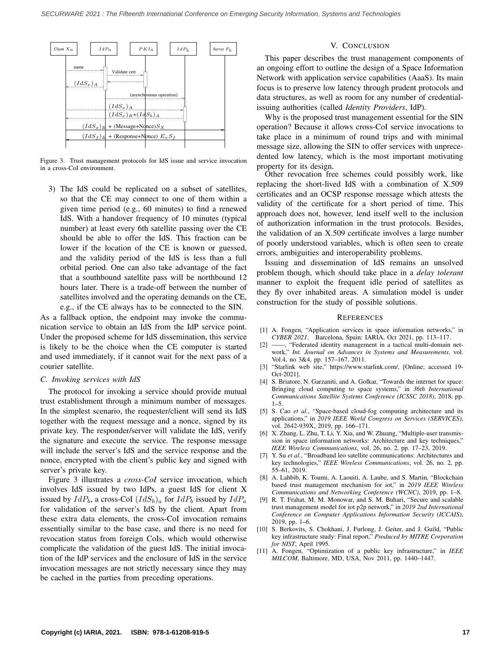

Figure 3. Trust management protocols for IdS issue and service invocation in a cross-CoI environment.

3) The IdS could be replicated on a subset of satellites, so that the CE may connect to one of them within a given time period (e.g., 60 minutes) to find a renewed IdS. With a handover frequency of 10 minutes (typical number) at least every 6th satellite passing over the CE should be able to offer the IdS. This fraction can be lower if the location of the CE is known or guessed, and the validity period of the IdS is less than a full orbital period. One can also take advantage of the fact that a southbound satellite pass will be northbound 12 hours later. There is a trade-off between the number of satellites involved and the operating demands on the CE, e.g., if the CE always has to be connected to the SIN.

As a fallback option, the endpoint may invoke the communication service to obtain an IdS from the IdP service point. Under the proposed scheme for IdS dissemination, this service is likely to be the choice when the CE computer is started and used immediately, if it cannot wait for the next pass of a courier satellite.

#### *C. Invoking services with IdS*

The protocol for invoking a service should provide mutual trust establishment through a minimum number of messages. In the simplest scenario, the requester/client will send its IdS together with the request message and a nonce, signed by its private key. The responder/server will validate the IdS, verify the signature and execute the service. The response message will include the server's IdS and the service response and the nonce, encrypted with the client's public key and signed with server's private key.

Figure 3 illustrates a *cross-CoI* service invocation, which involves IdS issued by two IdPs, a guest IdS for client X issued by  $IdP_b$ , a cross-CoI  $(IdS_b)_a$  for  $IdP_b$  issued by  $IdP_a$ for validation of the server's IdS by the client. Apart from these extra data elements, the cross-CoI invocation remains essentially similar to the base case, and there is no need for revocation status from foreign CoIs, which would otherwise complicate the validation of the guest IdS. The initial invocation of the IdP services and the enclosure of IdS in the service invocation messages are not strictly necessary since they may be cached in the parties from preceding operations.

# V. CONCLUSION

This paper describes the trust management components of an ongoing effort to outline the design of a Space Information Network with application service capabilities (AaaS). Its main focus is to preserve low latency through prudent protocols and data structures, as well as room for any number of credentialissuing authorities (called *Identity Providers*, IdP).

Why is the proposed trust management essential for the SIN operation? Because it allows cross-CoI service invocations to take place in a minimum of round trips and with minimal message size, allowing the SIN to offer services with unprecedented low latency, which is the most important motivating property for its design.

Other revocation free schemes could possibly work, like replacing the short-lived IdS with a combination of X.509 certificates and an OCSP response message which attests the validity of the certificate for a short period of time. This approach does not, however, lend itself well to the inclusion of authorization information in the trust protocols. Besides, the validation of an X.509 certificate involves a large number of poorly understood variables, which is often seen to create errors, ambiguities and interoperability problems.

Issuing and dissemination of IdS remains an unsolved problem though, which should take place in a *delay tolerant* manner to exploit the frequent idle period of satellites as they fly over inhabited areas. A simulation model is under construction for the study of possible solutions.

#### **REFERENCES**

- [1] A. Fongen, "Application services in space information networks," in *CYBER 2021*. Barcelona, Spain: IARIA, Oct 2021, pp. 113–117.
- [2] ——, "Federated identity management in a tactical multi-domain network," *Int. Journal on Advances in Systems and Measurements*, vol. Vol.4, no 3&4, pp. 157–167, 2011.
- [3] "Starlink web site," https://www.starlink.com/, [Online; accessed 19- Oct-2021].
- [4] S. Briatore, N. Garzaniti, and A. Golkar, "Towards the internet for space: Bringing cloud computing to space systems," in *36th International Communications Satellite Systems Conference (ICSSC 2018)*, 2018, pp.  $1 - 5$ .
- [5] S. Cao *et al.*, "Space-based cloud-fog computing architecture and its applications," in *2019 IEEE World Congress on Services (SERVICES)*, vol. 2642-939X, 2019, pp. 166–171.
- [6] X. Zhang, L. Zhu, T. Li, Y. Xia, and W. Zhuang, "Multiple-user transmission in space information networks: Architecture and key techniques," *IEEE Wireless Communications*, vol. 26, no. 2, pp. 17–23, 2019.
- [7] Y. Su *et al.*, "Broadband leo satellite communications: Architectures and key technologies," *IEEE Wireless Communications*, vol. 26, no. 2, pp. 55–61, 2019.
- [8] A. Lahbib, K. Toumi, A. Laouiti, A. Laube, and S. Martin, "Blockchain based trust management mechanism for iot," in *2019 IEEE Wireless Communications and Networking Conference (WCNC)*, 2019, pp. 1–8.
- [9] R. T. Frahat, M. M. Monowar, and S. M. Buhari, "Secure and scalable trust management model for iot p2p network," in *2019 2nd International Conference on Computer Applications Information Security (ICCAIS)*, 2019, pp. 1–6.
- [10] S. Berkovits, S. Chokhani, J. Furlong, J. Geiter, and J. Guild, "Public key infrastructure study: Final report," *Produced by MITRE Corporation for NIST*, April 1995.
- [11] A. Fongen, "Optimization of a public key infrastructure," in *IEEE MILCOM*, Baltimore, MD, USA, Nov 2011, pp. 1440–1447.